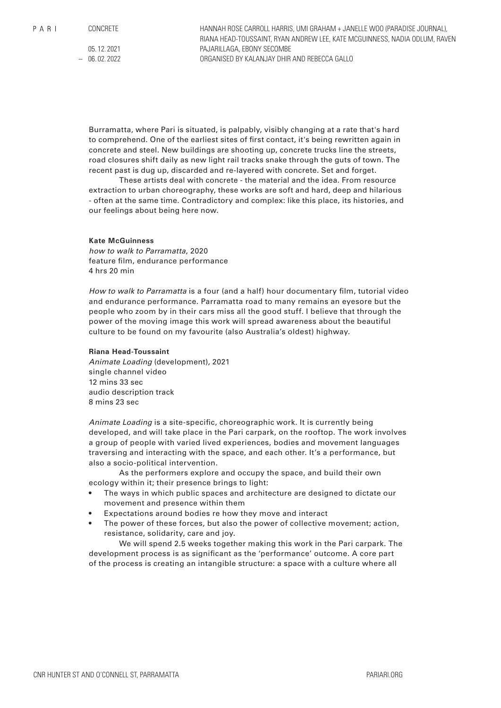CONCRETE

05. 12. 2021  $-06.02.2022$  HANNAH ROSE CARROLL HARRIS, UMI GRAHAM + JANELLE WOO (PARADISE JOURNAL), RIANA HEAD-TOUSSAINT, RYAN ANDREW LEE, KATE MCGUINNESS, NADIA ODLUM, RAVEN PAJARILLAGA, EBONY SECOMBE ORGANISED BY KALANJAY DHIR AND REBECCA GALLO

Burramatta, where Pari is situated, is palpably, visibly changing at a rate that's hard to comprehend. One of the earliest sites of first contact, it's being rewritten again in concrete and steel. New buildings are shooting up, concrete trucks line the streets, road closures shift daily as new light rail tracks snake through the guts of town. The recent past is dug up, discarded and re-layered with concrete. Set and forget.

These artists deal with concrete - the material and the idea. From resource extraction to urban choreography, these works are soft and hard, deep and hilarious - often at the same time. Contradictory and complex: like this place, its histories, and our feelings about being here now.

# **Kate McGuinness**

*how to walk to Parramatta*, 2020 feature film, endurance performance 4 hrs 20 min

*How to walk to Parramatta* is a four (and a half) hour documentary film, tutorial video and endurance performance. Parramatta road to many remains an eyesore but the people who zoom by in their cars miss all the good stuff. I believe that through the power of the moving image this work will spread awareness about the beautiful culture to be found on my favourite (also Australia's oldest) highway.

### **Riana Head-Toussaint**

*Animate Loading* (development)*,* 2021 single channel video 12 mins 33 sec audio description track 8 mins 23 sec

*Animate Loading* is a site-specific, choreographic work. It is currently being developed, and will take place in the Pari carpark, on the rooftop. The work involves a group of people with varied lived experiences, bodies and movement languages traversing and interacting with the space, and each other. It's a performance, but also a socio-political intervention.

As the performers explore and occupy the space, and build their own ecology within it; their presence brings to light:

- The ways in which public spaces and architecture are designed to dictate our movement and presence within them
- Expectations around bodies re how they move and interact
- The power of these forces, but also the power of collective movement; action, resistance, solidarity, care and joy.

We will spend 2.5 weeks together making this work in the Pari carpark. The development process is as significant as the 'performance' outcome. A core part of the process is creating an intangible structure: a space with a culture where all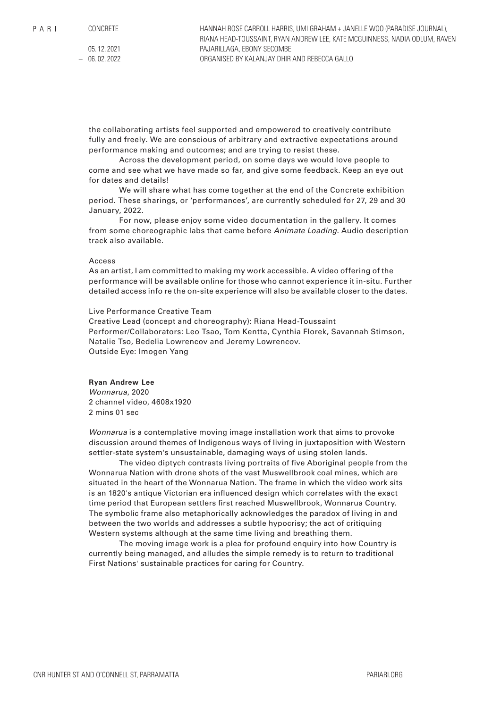CONCRETE

05. 12. 2021  $-06.02.2022$  HANNAH ROSE CARROLL HARRIS, UMI GRAHAM + JANELLE WOO (PARADISE JOURNAL), RIANA HEAD-TOUSSAINT, RYAN ANDREW LEE, KATE MCGUINNESS, NADIA ODLUM, RAVEN PAJARILLAGA, EBONY SECOMBE ORGANISED BY KALANJAY DHIR AND REBECCA GALLO

the collaborating artists feel supported and empowered to creatively contribute fully and freely. We are conscious of arbitrary and extractive expectations around performance making and outcomes; and are trying to resist these.

Across the development period, on some days we would love people to come and see what we have made so far, and give some feedback. Keep an eye out for dates and details!

We will share what has come together at the end of the Concrete exhibition period. These sharings, or 'performances', are currently scheduled for 27, 29 and 30 January, 2022.

For now, please enjoy some video documentation in the gallery. It comes from some choreographic labs that came before *Animate Loading.* Audio description track also available.

# Access

As an artist, I am committed to making my work accessible. A video offering of the performance will be available online for those who cannot experience it in-situ. Further detailed access info re the on-site experience will also be available closer to the dates.

### Live Performance Creative Team

Creative Lead (concept and choreography): Riana Head-Toussaint Performer/Collaborators: Leo Tsao, Tom Kentta, Cynthia Florek, Savannah Stimson, Natalie Tso, Bedelia Lowrencov and Jeremy Lowrencov. Outside Eye: Imogen Yang

### **Ryan Andrew Lee**

*Wonnarua*, 2020 2 channel video, 4608x1920 2 mins 01 sec

*Wonnarua* is a contemplative moving image installation work that aims to provoke discussion around themes of Indigenous ways of living in juxtaposition with Western settler-state system's unsustainable, damaging ways of using stolen lands.

The video diptych contrasts living portraits of five Aboriginal people from the Wonnarua Nation with drone shots of the vast Muswellbrook coal mines, which are situated in the heart of the Wonnarua Nation. The frame in which the video work sits is an 1820's antique Victorian era influenced design which correlates with the exact time period that European settlers first reached Muswellbrook, Wonnarua Country. The symbolic frame also metaphorically acknowledges the paradox of living in and between the two worlds and addresses a subtle hypocrisy; the act of critiquing Western systems although at the same time living and breathing them.

The moving image work is a plea for profound enquiry into how Country is currently being managed, and alludes the simple remedy is to return to traditional First Nations' sustainable practices for caring for Country.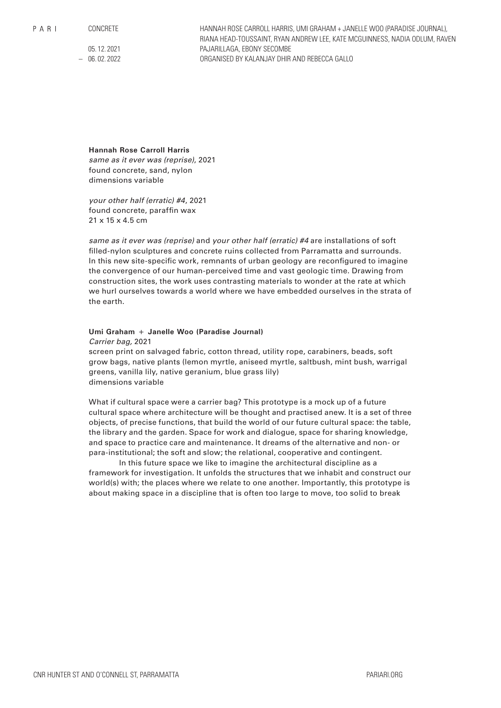CONCRETE

05. 12. 2021  $-06.02.2022$  HANNAH ROSE CARROLL HARRIS, UMI GRAHAM + JANELLE WOO (PARADISE JOURNAL), RIANA HEAD-TOUSSAINT, RYAN ANDREW LEE, KATE MCGUINNESS, NADIA ODLUM, RAVEN PAJARILLAGA, EBONY SECOMBE ORGANISED BY KALANJAY DHIR AND REBECCA GALLO

**Hannah Rose Carroll Harris**

*same as it ever was (reprise)*, 2021 found concrete, sand, nylon dimensions variable

*your other half (erratic) #4*, 2021 found concrete, paraffin wax 21 x 15 x 4.5 cm

*same as it ever was (reprise)* and *your other half (erratic) #4* are installations of soft filled-nylon sculptures and concrete ruins collected from Parramatta and surrounds. In this new site-specific work, remnants of urban geology are reconfigured to imagine the convergence of our human-perceived time and vast geologic time. Drawing from construction sites, the work uses contrasting materials to wonder at the rate at which we hurl ourselves towards a world where we have embedded ourselves in the strata of the earth.

# **Umi Graham + Janelle Woo (Paradise Journal)** *Carrier bag,* 2021

screen print on salvaged fabric, cotton thread, utility rope, carabiners, beads, soft grow bags, native plants (lemon myrtle, aniseed myrtle, saltbush, mint bush, warrigal greens, vanilla lily, native geranium, blue grass lily) dimensions variable

What if cultural space were a carrier bag? This prototype is a mock up of a future cultural space where architecture will be thought and practised anew. It is a set of three objects, of precise functions, that build the world of our future cultural space: the table, the library and the garden. Space for work and dialogue, space for sharing knowledge, and space to practice care and maintenance. It dreams of the alternative and non- or para-institutional; the soft and slow; the relational, cooperative and contingent.

In this future space we like to imagine the architectural discipline as a framework for investigation. It unfolds the structures that we inhabit and construct our world(s) with; the places where we relate to one another. Importantly, this prototype is about making space in a discipline that is often too large to move, too solid to break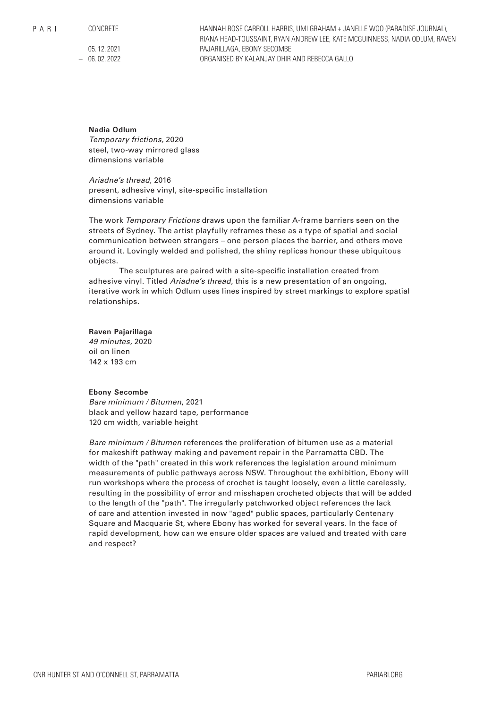$P$  A R I

CONCRETE

05. 12. 2021 – 06. 02. 2022 HANNAH ROSE CARROLL HARRIS, UMI GRAHAM + JANELLE WOO (PARADISE JOURNAL), RIANA HEAD-TOUSSAINT, RYAN ANDREW LEE, KATE MCGUINNESS, NADIA ODLUM, RAVEN PAJARILLAGA, EBONY SECOMBE ORGANISED BY KALANJAY DHIR AND REBECCA GALLO

# **Nadia Odlum**

*Temporary frictions,* 2020 steel, two-way mirrored glass dimensions variable

*Ariadne's thread,* 2016 present, adhesive vinyl, site-specific installation dimensions variable

The work *Temporary Frictions* draws upon the familiar A-frame barriers seen on the streets of Sydney. The artist playfully reframes these as a type of spatial and social communication between strangers – one person places the barrier, and others move around it. Lovingly welded and polished, the shiny replicas honour these ubiquitous objects.

The sculptures are paired with a site-specific installation created from adhesive vinyl. Titled *Ariadne's thread*, this is a new presentation of an ongoing, iterative work in which Odlum uses lines inspired by street markings to explore spatial relationships.

# **Raven Pajarillaga**

*49 minutes*, 2020 oil on linen 142 x 193 cm

# **Ebony Secombe**

*Bare minimum / Bitumen*, 2021 black and yellow hazard tape, performance 120 cm width, variable height

*Bare minimum / Bitumen* references the proliferation of bitumen use as a material for makeshift pathway making and pavement repair in the Parramatta CBD. The width of the "path" created in this work references the legislation around minimum measurements of public pathways across NSW. Throughout the exhibition, Ebony will run workshops where the process of crochet is taught loosely, even a little carelessly, resulting in the possibility of error and misshapen crocheted objects that will be added to the length of the "path". The irregularly patchworked object references the lack of care and attention invested in now "aged" public spaces, particularly Centenary Square and Macquarie St, where Ebony has worked for several years. In the face of rapid development, how can we ensure older spaces are valued and treated with care and respect?